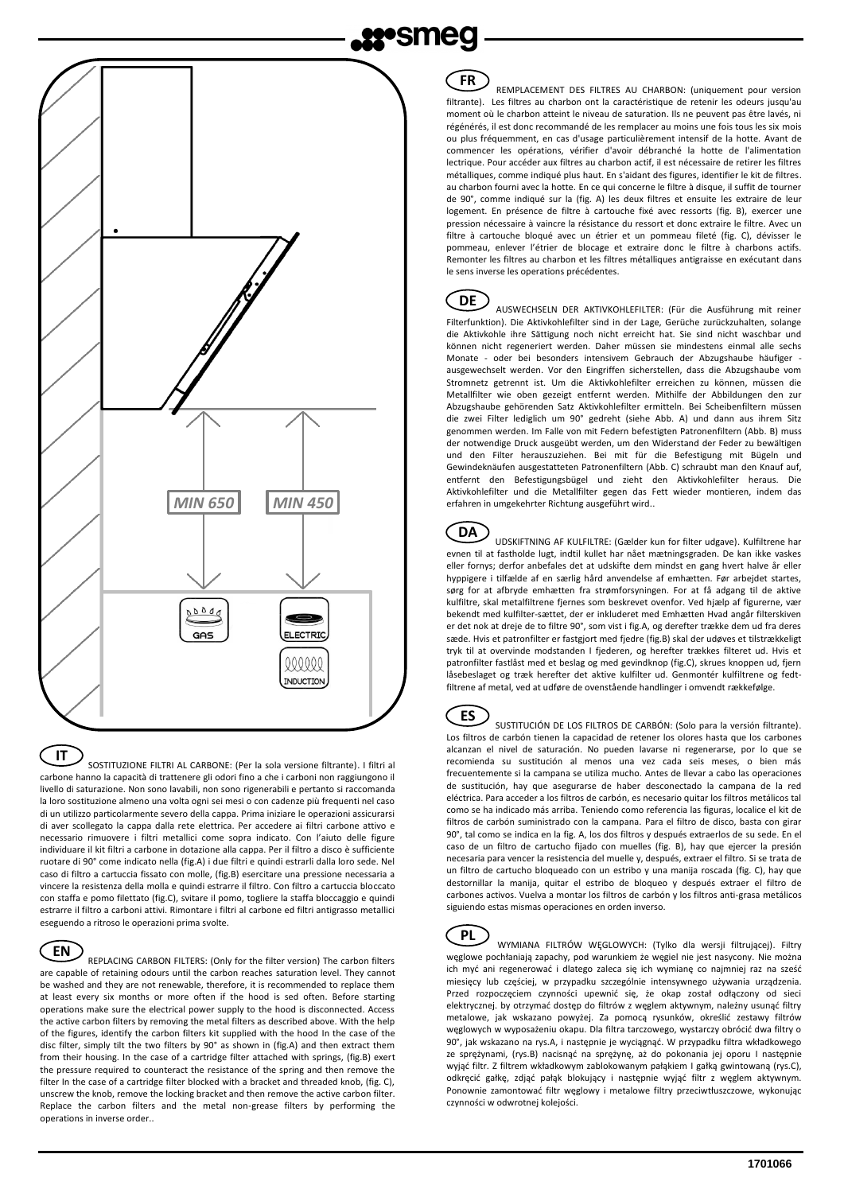

SOSTITUZIONE FILTRI AL CARBONE: (Per la sola versione filtrante). I filtri al carbone hanno la capacità di trattenere gli odori fino a che i carboni non raggiungono il livello di saturazione. Non sono lavabili, non sono rigenerabili e pertanto si raccomanda la loro sostituzione almeno una volta ogni sei mesi o con cadenze più frequenti nel caso di un utilizzo particolarmente severo della cappa. Prima iniziare le operazioni assicurarsi di aver scollegato la cappa dalla rete elettrica. Per accedere ai filtri carbone attivo e necessario rimuovere i filtri metallici come sopra indicato. Con l'aiuto delle figure individuare il kit filtri a carbone in dotazione alla cappa. Per il filtro a disco è sufficiente ruotare di 90° come indicato nella (fig.A) i due filtri e quindi estrarli dalla loro sede. Nel caso di filtro a cartuccia fissato con molle, (fig.B) esercitare una pressione necessaria a vincere la resistenza della molla e quindi estrarre il filtro. Con filtro a cartuccia bloccato con staffa e pomo filettato (fig.C), svitare il pomo, togliere la staffa bloccaggio e quindi estrarre il filtro a carboni attivi. Rimontare i filtri al carbone ed filtri antigrasso metallici eseguendo a ritroso le operazioni prima svolte. **IT**

**NDUCTION** 

REPLACING CARBON FILTERS: (Only for the filter version) The carbon filters are capable of retaining odours until the carbon reaches saturation level. They cannot be washed and they are not renewable, therefore, it is recommended to replace them at least every six months or more often if the hood is sed often. Before starting operations make sure the electrical power supply to the hood is disconnected. Access the active carbon filters by removing the metal filters as described above. With the help of the figures, identify the carbon filters kit supplied with the hood In the case of the disc filter, simply tilt the two filters by 90° as shown in (fig.A) and then extract them from their housing. In the case of a cartridge filter attached with springs, (fig.B) exert the pressure required to counteract the resistance of the spring and then remove the filter In the case of a cartridge filter blocked with a bracket and threaded knob, (fig. C), unscrew the knob, remove the locking bracket and then remove the active carbon filter. Replace the carbon filters and the metal non-grease filters by performing the operations in inverse order.. **EN**

## **FR**

REMPLACEMENT DES FILTRES AU CHARBON: (uniquement pour version filtrante). Les filtres au charbon ont la caractéristique de retenir les odeurs jusqu'au moment où le charbon atteint le niveau de saturation. Ils ne peuvent pas être lavés, ni régénérés, il est donc recommandé de les remplacer au moins une fois tous les six mois ou plus fréquemment, en cas d'usage particulièrement intensif de la hotte. Avant de commencer les opérations, vérifier d'avoir débranché la hotte de l'alimentation lectrique. Pour accéder aux filtres au charbon actif, il est nécessaire de retirer les filtres métalliques, comme indiqué plus haut. En s'aidant des figures, identifier le kit de filtres. au charbon fourni avec la hotte. En ce qui concerne le filtre à disque, il suffit de tourner de 90°, comme indiqué sur la (fig. A) les deux filtres et ensuite les extraire de leur logement. En présence de filtre à cartouche fixé avec ressorts (fig. B), exercer une pression nécessaire à vaincre la résistance du ressort et donc extraire le filtre. Avec un filtre à cartouche bloqué avec un étrier et un pommeau fileté (fig. C), dévisser le pommeau, enlever l'étrier de blocage et extraire donc le filtre à charbons actifs. Remonter les filtres au charbon et les filtres métalliques antigraisse en exécutant dans le sens inverse les operations précédentes.

AUSWECHSELN DER AKTIVKOHLEFILTER: (Für die Ausführung mit reiner **DE** Filterfunktion). Die Aktivkohlefilter sind in der Lage, Gerüche zurückzuhalten, solange die Aktivkohle ihre Sättigung noch nicht erreicht hat. Sie sind nicht waschbar und können nicht regeneriert werden. Daher müssen sie mindestens einmal alle sechs Monate - oder bei besonders intensivem Gebrauch der Abzugshaube häufiger ausgewechselt werden. Vor den Eingriffen sicherstellen, dass die Abzugshaube vom Stromnetz getrennt ist. Um die Aktivkohlefilter erreichen zu können, müssen die Metallfilter wie oben gezeigt entfernt werden. Mithilfe der Abbildungen den zur Abzugshaube gehörenden Satz Aktivkohlefilter ermitteln. Bei Scheibenfiltern müssen die zwei Filter lediglich um 90° gedreht (siehe Abb. A) und dann aus ihrem Sitz genommen werden. Im Falle von mit Federn befestigten Patronenfiltern (Abb. B) muss der notwendige Druck ausgeübt werden, um den Widerstand der Feder zu bewältigen und den Filter herauszuziehen. Bei mit für die Befestigung mit Bügeln und Gewindeknäufen ausgestatteten Patronenfiltern (Abb. C) schraubt man den Knauf auf, entfernt den Befestigungsbügel und zieht den Aktivkohlefilter heraus. Die Aktivkohlefilter und die Metallfilter gegen das Fett wieder montieren, indem das erfahren in umgekehrter Richtung ausgeführt wird..

UDSKIFTNING AF KULFILTRE: (Gælder kun for filter udgave). Kulfiltrene har evnen til at fastholde lugt, indtil kullet har nået mætningsgraden. De kan ikke vaskes eller fornys; derfor anbefales det at udskifte dem mindst en gang hvert halve år eller hyppigere i tilfælde af en særlig hård anvendelse af emhætten. Før arbejdet startes, sørg for at afbryde emhætten fra strømforsyningen. For at få adgang til de aktive kulfiltre, skal metalfiltrene fjernes som beskrevet ovenfor. Ved hjælp af figurerne, vær bekendt med kulfilter-sættet, der er inkluderet med Emhætten Hvad angår filterskiven er det nok at dreje de to filtre 90°, som vist i fig.A, og derefter trække dem ud fra deres sæde. Hvis et patronfilter er fastgjort med fjedre (fig.B) skal der udøves et tilstrækkeligt tryk til at overvinde modstanden I fjederen, og herefter trækkes filteret ud. Hvis et patronfilter fastlåst med et beslag og med gevindknop (fig.C), skrues knoppen ud, fjern låsebeslaget og træk herefter det aktive kulfilter ud. Genmontér kulfiltrene og fedtfiltrene af metal, ved at udføre de ovenstående handlinger i omvendt rækkefølge. **DA**

SUSTITUCIÓN DE LOS FILTROS DE CARBÓN: (Solo para la versión filtrante). Los filtros de carbón tienen la capacidad de retener los olores hasta que los carbones alcanzan el nivel de saturación. No pueden lavarse ni regenerarse, por lo que se recomienda su sustitución al menos una vez cada seis meses, o bien más frecuentemente si la campana se utiliza mucho. Antes de llevar a cabo las operaciones de sustitución, hay que asegurarse de haber desconectado la campana de la red eléctrica. Para acceder a los filtros de carbón, es necesario quitar los filtros metálicos tal como se ha indicado más arriba. Teniendo como referencia las figuras, localice el kit de filtros de carbón suministrado con la campana. Para el filtro de disco, basta con girar 90°, tal como se indica en la fig. A, los dos filtros y después extraerlos de su sede. En el caso de un filtro de cartucho fijado con muelles (fig. B), hay que ejercer la presión necesaria para vencer la resistencia del muelle y, después, extraer el filtro. Si se trata de un filtro de cartucho bloqueado con un estribo y una manija roscada (fig. C), hay que destornillar la manija, quitar el estribo de bloqueo y después extraer el filtro de carbones activos. Vuelva a montar los filtros de carbón y los filtros anti-grasa metálicos siguiendo estas mismas operaciones en orden inverso. **ES**

WYMIANA FILTRÓW WĘGLOWYCH: (Tylko dla wersji filtrującej). Filtry węglowe pochłaniają zapachy, pod warunkiem że węgiel nie jest nasycony. Nie można ich myć ani regenerować i dlatego zaleca się ich wymianę co najmniej raz na sześć miesięcy lub częściej, w przypadku szczególnie intensywnego używania urządzenia. Przed rozpoczęciem czynności upewnić się, że okap został odłączony od sieci elektrycznej. by otrzymać dostęp do filtrów z węglem aktywnym, należny usunąć filtry metalowe, jak wskazano powyżej. Za pomocą rysunków, określić zestawy filtrów węglowych w wyposażeniu okapu. Dla filtra tarczowego, wystarczy obrócić dwa filtry o 90°, jak wskazano na rys.A, i następnie je wyciągnąć. W przypadku filtra wkładkowego ze sprężynami, (rys.B) nacisnąć na sprężynę, aż do pokonania jej oporu I następnie wyjąć filtr. Z filtrem wkładkowym zablokowanym pałąkiem I gałką gwintowaną (rys.C), odkręcić gałkę, zdjąć pałąk blokujący i następnie wyjąć filtr z węglem aktywnym. Ponownie zamontować filtr węglowy i metalowe filtry przeciwtłuszczowe, wykonując czynności w odwrotnej kolejości. **PL**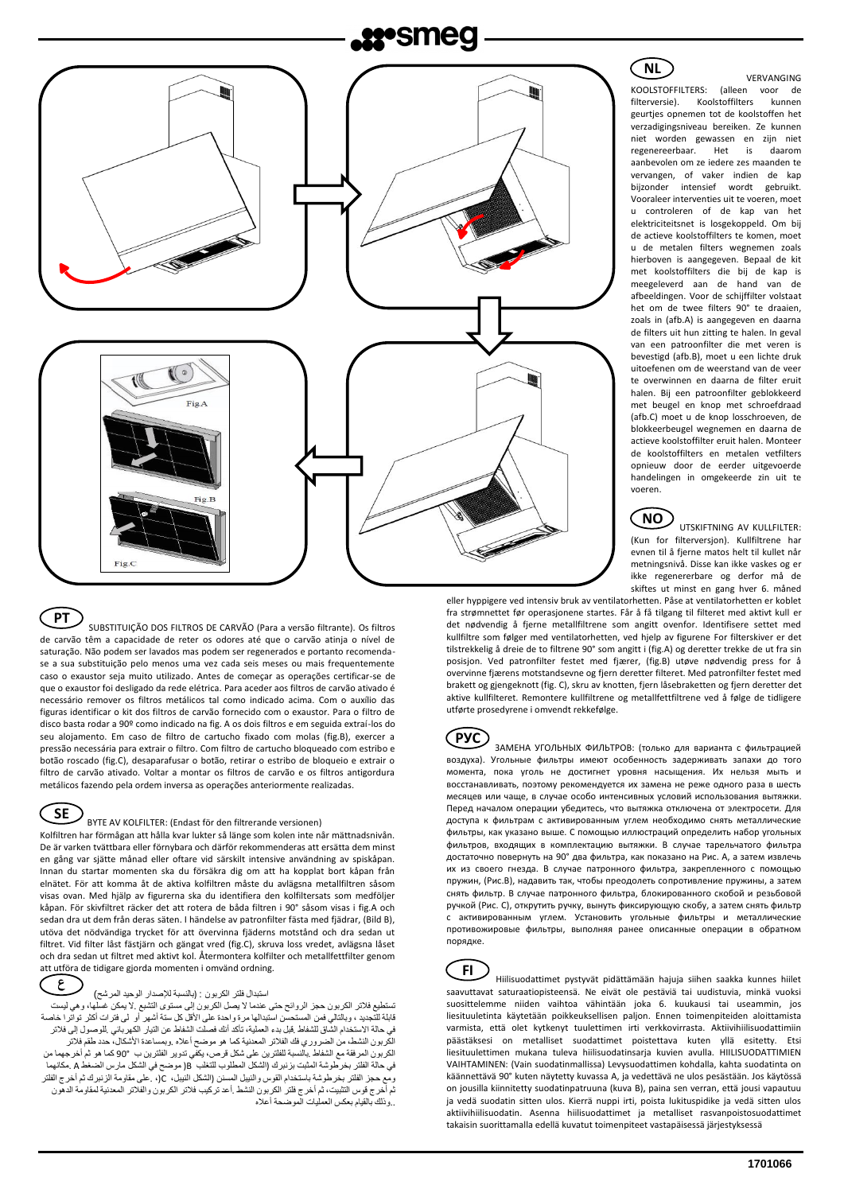# **22°SMed**



SUBSTITUIÇÃO DOS FILTROS DE CARVÃO (Para a versão filtrante). Os filtros de carvão têm a capacidade de reter os odores até que o carvão atinja o nível de saturação. Não podem ser lavados mas podem ser regenerados e portanto recomendase a sua substituição pelo menos uma vez cada seis meses ou mais frequentemente caso o exaustor seja muito utilizado. Antes de começar as operações certificar-se de que o exaustor foi desligado da rede elétrica. Para aceder aos filtros de carvão ativado é necessário remover os filtros metálicos tal como indicado acima. Com o auxílio das figuras identificar o kit dos filtros de carvão fornecido com o exaustor. Para o filtro de disco basta rodar a 90º como indicado na fig. A os dois filtros e em seguida extraí-los do seu alojamento. Em caso de filtro de cartucho fixado com molas (fig.B), exercer a pressão necessária para extrair o filtro. Com filtro de cartucho bloqueado com estribo e botão roscado (fig.C), desaparafusar o botão, retirar o estribo de bloqueio e extrair o filtro de carvão ativado. Voltar a montar os filtros de carvão e os filtros antigordura metálicos fazendo pela ordem inversa as operações anteriormente realizadas. **PT**

# **SE**

### BYTE AV KOLFILTER: (Endast för den filtrerande versionen)

Kolfiltren har förmågan att hålla kvar lukter så länge som kolen inte når mättnadsnivån. De är varken tvättbara eller förnybara och därför rekommenderas att ersätta dem minst en gång var sjätte månad eller oftare vid särskilt intensive användning av spiskåpan. Innan du startar momenten ska du försäkra dig om att ha kopplat bort kåpan från elnätet. För att komma åt de aktiva kolfiltren måste du avlägsna metallfiltren såsom visas ovan. Med hjälp av figurerna ska du identifiera den kolfiltersats som medföljer kåpan. För skivfiltret räcker det att rotera de båda filtren i 90° såsom visas i fig.A och sedan dra ut dem från deras säten. I händelse av patronfilter fästa med fjädrar, (Bild B), utöva det nödvändiga trycket för att övervinna fjäderns motstånd och dra sedan ut filtret. Vid filter låst fästjärn och gängat vred (fig.C), skruva loss vredet, avlägsna låset och dra sedan ut filtret med aktivt kol. Återmontera kolfilter och metallfettfilter genom att utföra de tidigare gjorda momenten i omvänd ordning.

## **ع**

### استبدال فلتر الكربون : (بالنسبة للإصدار الوحيد المرشح)

ت<br>تيع فلاتر الكربون حجز الروائح حتى عندما لا يصل الكربون إلى مستوى التشبع .لا يمكن غس قابلة للتجديد ، وبالتالي فمن المستحسن استبدالها مرة واحدة على األقل كل ستة أشهر أو لى فترات أكثر تواترا خاصة في حالة الاستخدام الشّاق للشفاط .قبل بدء العملية، تأكد أنك فصلت الشّفاط عن التيار الكهربائي .للوصول إلى فلاتر .<br>لكربون النشط، من الضروري فك الفلاتر المعدنية كما هو موضح أعلاه .وبمساعدة الأشكال، حدد طقم فلاتر الكربون المرفقة مع الشفاط .بالنسبة للفلترين على شكل قرص، يكفي تدوير الفلترين ب 90° كما هو ثم أخرجهما من في حالة الفلتر بخرطوشة المثبت بزنبرك (الشكل المطلوب للتغلب B )موضح في الشكل مارس الضغط A .مكانهما ومع حجز الفلتر بخرطوشة باستخدام القوس والنيبل المسنن (الشكل النيبل، C)، .على مقاومة الزنبرك ثم أخرج الفلتر ثم أخرج قوس التثبيت، ثم أخرج فلتر الكربون النشط .أعد تركيب فالتر الكربون والفالتر المعدنية لمقاومة الدهون ..وذلك بالقيام بعكس العمليات الموضحة أعاله

VERVANGING KOOLSTOFFILTERS: (alleen voor de Koolstoffilters geurtjes opnemen tot de koolstoffen het verzadigingsniveau bereiken. Ze kunnen niet worden gewassen en zijn niet regenereerbaar. Het is daarom aanbevolen om ze iedere zes maanden te vervangen, of vaker indien de kap bijzonder intensief wordt gebruikt. Vooraleer interventies uit te voeren, moet u controleren of de kap van het elektriciteitsnet is losgekoppeld. Om bij de actieve koolstoffilters te komen, moet u de metalen filters wegnemen zoals hierboven is aangegeven. Bepaal de kit met koolstoffilters die bij de kap is meegeleverd aan de hand van de afbeeldingen. Voor de schijffilter volstaat het om de twee filters 90° te draaien, zoals in (afb.A) is aangegeven en daarna de filters uit hun zitting te halen. In geval van een patroonfilter die met veren is bevestigd (afb.B), moet u een lichte druk uitoefenen om de weerstand van de veer te overwinnen en daarna de filter eruit halen. Bij een patroonfilter geblokkeerd met beugel en knop met schroefdraad (afb.C) moet u de knop losschroeven, de blokkeerbeugel wegnemen en daarna de actieve koolstoffilter eruit halen. Monteer de koolstoffilters en metalen vetfilters opnieuw door de eerder uitgevoerde handelingen in omgekeerde zin uit te voeren. **NL**

# **NO**

UTSKIFTNING AV KULLFILTER: (Kun for filterversjon). Kullfiltrene har evnen til å fjerne matos helt til kullet når metningsnivå. Disse kan ikke vaskes og er ikke regenererbare og derfor må de skiftes ut minst en gang hver 6. måned

eller hyppigere ved intensiv bruk av ventilatorhetten. Påse at ventilatorhetten er koblet fra strømnettet før operasjonene startes. Får å få tilgang til filteret med aktivt kull er det nødvendig å fjerne metallfiltrene som angitt ovenfor. Identifisere settet med kullfiltre som følger med ventilatorhetten, ved hjelp av figurene For filterskiver er det tilstrekkelig å dreie de to filtrene 90° som angitt i (fig.A) og deretter trekke de ut fra sin posisjon. Ved patronfilter festet med fjærer, (fig.B) utøve nødvendig press for å overvinne fjærens motstandsevne og fjern deretter filteret. Med patronfilter festet med brakett og gjengeknott (fig. C), skru av knotten, fjern låsebraketten og fjern deretter det aktive kullfilteret. Remontere kullfiltrene og metallfettfiltrene ved å følge de tidligere utførte prosedyrene i omvendt rekkefølge.



ЗАМЕНА УГОЛЬНЫХ ФИЛЬТРОВ: (только для варианта с фильтрацией воздуха). Угольные фильтры имеют особенность задерживать запахи до того момента, пока уголь не достигнет уровня насыщения. Их нельзя мыть и восстанавливать, поэтому рекомендуется их замена не реже одного раза в шесть месяцев или чаще, в случае особо интенсивных условий использования вытяжки. Перед началом операции убедитесь, что вытяжка отключена от электросети. Для доступа к фильтрам с активированным углем необходимо снять металлические фильтры, как указано выше. С помощью иллюстраций определить набор угольных фильтров, входящих в комплектацию вытяжки. В случае тарельчатого фильтра достаточно повернуть на 90° два фильтра, как показано на Рис. А, а затем извлечь их из своего гнезда. В случае патронного фильтра, закрепленного с помощью пружин, (Рис.B), надавить так, чтобы преодолеть сопротивление пружины, а затем снять фильтр. В случае патронного фильтра, блокированного скобой и резьбовой ручкой (Рис. C), открутить ручку, вынуть фиксирующую скобу, а затем снять фильтр с активированным углем. Установить угольные фильтры и металлические противожировые фильтры, выполняя ранее описанные операции в обратном порядке.

Hiilisuodattimet pystyvät pidättämään hajuja siihen saakka kunnes hiilet saavuttavat saturaatiopisteensä. Ne eivät ole pestäviä tai uudistuvia, minkä vuoksi suosittelemme niiden vaihtoa vähintään joka 6. kuukausi tai useammin, jos liesituuletinta käytetään poikkeuksellisen paljon. Ennen toimenpiteiden aloittamista varmista, että olet kytkenyt tuulettimen irti verkkovirrasta. Aktiivihiilisuodattimiin päästäksesi on metalliset suodattimet poistettava kuten yllä esitetty. Etsi liesituulettimen mukana tuleva hiilisuodatinsarja kuvien avulla. HIILISUODATTIMIEN VAIHTAMINEN: (Vain suodatinmallissa) Levysuodattimen kohdalla, kahta suodatinta on käännettävä 90° kuten näytetty kuvassa A, ja vedettävä ne ulos pesästään. Jos käytössä on jousilla kiinnitetty suodatinpatruuna (kuva B), paina sen verran, että jousi vapautuu ja vedä suodatin sitten ulos. Kierrä nuppi irti, poista lukituspidike ja vedä sitten ulos aktiivihiilisuodatin. Asenna hiilisuodattimet ja metalliset rasvanpoistosuodattimet takaisin suorittamalla edellä kuvatut toimenpiteet vastapäisessä järjestyksessä **FI**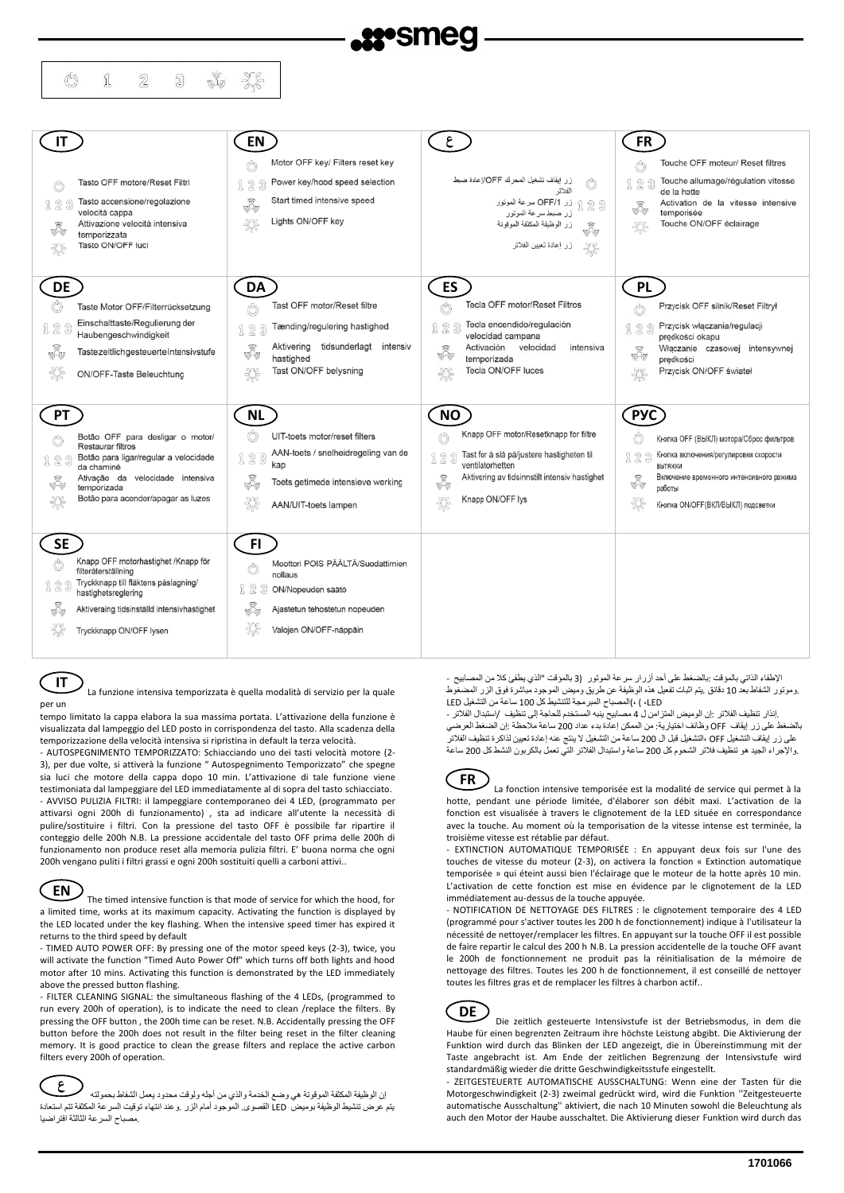| IT.       |                                                                   | EN                                    |                                     | ع                                                 |                                                                   | <b>FR</b>       |                                                     |
|-----------|-------------------------------------------------------------------|---------------------------------------|-------------------------------------|---------------------------------------------------|-------------------------------------------------------------------|-----------------|-----------------------------------------------------|
|           |                                                                   | ð                                     | Motor OFF key/ Filters reset key    |                                                   |                                                                   | Ċ               | Touche OFF moteur/ Reset filtres                    |
|           | Tasto OFF motore/Reset Filtri                                     | 123                                   | Power key/hood speed selection      |                                                   | زر   إيقاف تشغيل المحرك OFF/إعادة ضبط<br>الفلاتر                  | 123             | Touche allumage/régulation vitesse<br>de la hotte   |
| 123       | Tasto accensione/regolazione<br>velocità cappa                    | <b>I</b>                              | Start timed intensive speed         |                                                   | § 1 لار OFF/1 سرعة الموتور QFF/1<br>زر ضبط سرعة الموتور           | io.             | Activation de la vitesse intensive<br>temporisée    |
| <b>I</b>  | Attivazione velocità intensiva                                    | Lights ON/OFF key<br>$\frac{2\%}{\%}$ |                                     |                                                   | زر الوظيفة المكثفة الموقوتة<br>io.                                | ℁               | Touche ON/OFF éclairage                             |
|           | temporizzata<br>Tasto ON/OFF luci                                 |                                       |                                     |                                                   | زر إعادة تعيين الفلاتر                                            |                 |                                                     |
|           |                                                                   |                                       |                                     |                                                   |                                                                   |                 |                                                     |
| <b>DE</b> |                                                                   | DA                                    |                                     | ES                                                |                                                                   | <b>PL</b>       |                                                     |
| ü         | Taste Motor OFF/Filterrücksetzung                                 | Ö                                     | Tast OFF motor/Reset filtre         |                                                   | <b>Tecla OFF motor/Reset Filtros</b>                              | Ö               | Przycisk OFF silnik/Reset Filtrył                   |
| 123       | Einschalttaste/Regulierung der<br>Haubengeschwindigkeit           | 123                                   | Tænding/regulering hastighed        | 123                                               | Tecla encendido/regulación<br>velocidad campana                   | 123             | Przycisk włączania/regulacji<br>prędkości okapu     |
| īŌ,       | TastezeitlichgesteuerteIntensivstufe                              | Aktivering<br>ŵ<br>hastighed          | tidsunderlagt<br>intensiv           | $\textcircled{\small{\textsf{R}}}$<br><b>NODI</b> | Activación velocidad<br>intensiva<br>temporizada                  | N<br><b>Nop</b> | Włączanie czasowej intensywnej<br>predkości         |
| ▓         | ON/OFF-Taste Beleuchtung                                          | ₩                                     | Tast ON/OFF belysning               | %                                                 | Tecla ON/OFF luces                                                | X               | Przycisk ON/OFF świateł                             |
|           |                                                                   |                                       |                                     |                                                   |                                                                   |                 |                                                     |
|           |                                                                   |                                       |                                     |                                                   |                                                                   |                 |                                                     |
| <b>PT</b> |                                                                   | <b>NL</b>                             |                                     | <b>NO</b>                                         |                                                                   | <b>PYC</b>      |                                                     |
|           | Botão OFF para desligar o motor/                                  | ü                                     | UIT-toets motor/reset filters       | Ů                                                 | Knapp OFF motor/Resetknapp for filtre                             |                 | Кнопка ОГГ (ВЫКЛ) мотора/Сброс фильтров             |
| 123       | Restaurar filtros<br>Botão para ligar/regular a velocidade        | 123                                   | AAN-toets / snelheidregeling van de | 123                                               | Tast for å slå på/justere hastigheten til                         | 123             | Кнопка включения/регулировки скорости               |
|           | da chaminé<br>Ativação da velocidade intensiva                    | kap                                   | Toets getimede intensieve werking   |                                                   | ventilatorhetten<br>Aktivering av tidsinnstilt intensiv hastighet |                 | ВЫТЯЖКИ<br>Включение временного интенсивного режима |
|           | temporizada<br>Botão para acender/apagar as luzes                 | Ŵ                                     |                                     | io<br>V                                           | Knapp ON/OFF lys                                                  | $\sqrt[3]{2}$   | работы                                              |
| ₩         |                                                                   | ₩                                     | AAN/UIT-toets lampen                | $\frac{306}{100}$                                 |                                                                   | ₩               | Кнопка ON/OFF(ВКЛ/ВЫКЛ) подсветки                   |
| <b>SE</b> |                                                                   | FI.                                   |                                     |                                                   |                                                                   |                 |                                                     |
| Ů         | Knapp OFF motorhastighet /Knapp för                               |                                       | Moottori POIS PÄÄLTÄ/Suodattimien   |                                                   |                                                                   |                 |                                                     |
| 123       | filteråterställning<br>Tryckknapp till fläktens påslagning/       | Ů<br>nollaus<br>123                   | ON/Nopeuden säätö                   |                                                   |                                                                   |                 |                                                     |
|           | hastighetsreglering<br>Aktiveraing tidsinställd intensivhastighet |                                       | Ajastetun tehostetun nopeuden       |                                                   |                                                                   |                 |                                                     |
| ŵ         | Tryckknapp ON/OFF lysen                                           | Ŵ,<br>₩                               | Valojen ON/OFF-näppäin              |                                                   |                                                                   |                 |                                                     |

**IT**

La funzione intensiva temporizzata è quella modalità di servizio per la quale per un

tempo limitato la cappa elabora la sua massima portata. L'attivazione della funzione è visualizzata dal lampeggio del LED posto in corrispondenza del tasto. Alla scadenza della temporizzazione della velocità intensiva si ripristina in default la terza velocità.

- AUTOSPEGNIMENTO TEMPORIZZATO: Schiacciando uno dei tasti velocità motore (2- 3), per due volte, si attiverà la funzione " Autospegnimento Temporizzato" che spegne sia luci che motore della cappa dopo 10 min. L'attivazione di tale funzione viene testimoniata dal lampeggiare del LED immediatamente al di sopra del tasto schiacciato. - AVVISO PULIZIA FILTRI: il lampeggiare contemporaneo dei 4 LED, (programmato per attivarsi ogni 200h di funzionamento) , sta ad indicare all'utente la necessità di pulire/sostituire i filtri. Con la pressione del tasto OFF è possibile far ripartire il conteggio delle 200h N.B. La pressione accidentale del tasto OFF prima delle 200h di funzionamento non produce reset alla memoria pulizia filtri. E' buona norma che ogni 200h vengano puliti i filtri grassi e ogni 200h sostituiti quelli a carboni attivi..



The timed intensive function is that mode of service for which the hood, for a limited time, works at its maximum capacity. Activating the function is displayed by the LED located under the key flashing. When the intensive speed timer has expired it returns to the third speed by default

- TIMED AUTO POWER OFF: By pressing one of the motor speed keys (2-3), twice, you will activate the function "Timed Auto Power Off" which turns off both lights and hood motor after 10 mins. Activating this function is demonstrated by the LED immediately above the pressed button flashing.

- FILTER CLEANING SIGNAL: the simultaneous flashing of the 4 LEDs, (programmed to run every 200h of operation), is to indicate the need to clean /replace the filters. By pressing the OFF button , the 200h time can be reset. N.B. Accidentally pressing the OFF button before the 200h does not result in the filter being reset in the filter cleaning memory. It is good practice to clean the grease filters and replace the active carbon filters every 200h of operation.

إن الوظيفة المكثفة الموقوتة هي وضع الخدمة والذي من أجله ولوقت محدود يعمل الشفاط بحمولته يتم عرض تنشيط الوظيفة بوميض LED القصوى. الموجود أمام الزر .وعند انتهاء توقيت السرعة المكثفة تتم استعادة .مصباح السرعة الثالثة افتراضيا **ع**

اإلطفاء الذاتي بالمؤقت :بالضغط على أحد أزرار سرعة الموتور (3 بالمؤقت "الذي يطفئ كال من المصابيح - .وموتور الشفاط بعد 10 دقائق .يتم اثبات تفعيل هذه الوظيفة عن طريق وميض الموجود مباشرة فوق الزر المضغوط LED، ( ،(المصباح المبرمجة للتنشيط كل 100 ساعة من التشغيل LED

.إنذار تنظيف الفالتر :إن الوميض المتزامن ل 4 مصابيح ينبه المستخدم للحاجة إلى تنظيف /استبدال الفالتر - بالضغط على زر إيقاف OFF وظائف اختيارية: من الممكن إعادة بدء عداد 200 ساعة مالحظة :إن الضغط العرضي على زر إيقاف التشغيل OFF ،التشغيل قبل ال 200 ساعة من التشغيل ال ينتج عنه إعادة تعيين لذاكرة تنظيف الفالتر .واإلجراء الجيد هو تنظيف فالتر الشحوم كل 200 ساعة واستبدال الفالتر التي تعمل بالكربون النشط كل 200 ساعة



La fonction intensive temporisée est la modalité de service qui permet à la hotte, pendant une période limitée, d'élaborer son débit maxi. L'activation de la fonction est visualisée à travers le clignotement de la LED située en correspondance avec la touche. Au moment où la temporisation de la vitesse intense est terminée, la troisième vitesse est rétablie par défaut.

- EXTINCTION AUTOMATIQUE TEMPORISÉE : En appuyant deux fois sur l'une des touches de vitesse du moteur (2-3), on activera la fonction « Extinction automatique temporisée » qui éteint aussi bien l'éclairage que le moteur de la hotte après 10 min. L'activation de cette fonction est mise en évidence par le clignotement de la LED immédiatement au-dessus de la touche appuyée.

- NOTIFICATION DE NETTOYAGE DES FILTRES : le clignotement temporaire des 4 LED (programmé pour s'activer toutes les 200 h de fonctionnement) indique à l'utilisateur la nécessité de nettoyer/remplacer les filtres. En appuyant sur la touche OFF il est possible de faire repartir le calcul des 200 h N.B. La pression accidentelle de la touche OFF avant le 200h de fonctionnement ne produit pas la réinitialisation de la mémoire de nettoyage des filtres. Toutes les 200 h de fonctionnement, il est conseillé de nettoyer toutes les filtres gras et de remplacer les filtres à charbon actif..



Die zeitlich gesteuerte Intensivstufe ist der Betriebsmodus, in dem die Haube für einen begrenzten Zeitraum ihre höchste Leistung abgibt. Die Aktivierung der Funktion wird durch das Blinken der LED angezeigt, die in Übereinstimmung mit der Taste angebracht ist. Am Ende der zeitlichen Begrenzung der Intensivstufe wird standardmäßig wieder die dritte Geschwindigkeitsstufe eingestellt.

- ZEITGESTEUERTE AUTOMATISCHE AUSSCHALTUNG: Wenn eine der Tasten für die Motorgeschwindigkeit (2-3) zweimal gedrückt wird, wird die Funktion ''Zeitgesteuerte automatische Ausschaltung'' aktiviert, die nach 10 Minuten sowohl die Beleuchtung als auch den Motor der Haube ausschaltet. Die Aktivierung dieser Funktion wird durch das